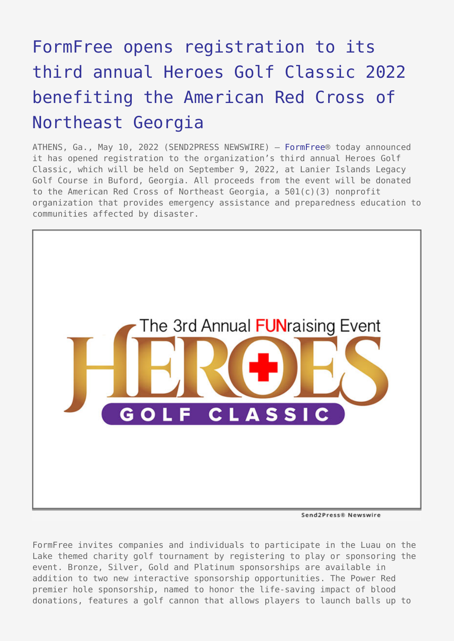## [FormFree opens registration to its](https://www.send2press.com/wire/formfree-opens-registration-to-its-third-annual-heroes-golf-classic-2022-benefiting-the-american-red-cross-of-northeast-georgia/) [third annual Heroes Golf Classic 2022](https://www.send2press.com/wire/formfree-opens-registration-to-its-third-annual-heroes-golf-classic-2022-benefiting-the-american-red-cross-of-northeast-georgia/) [benefiting the American Red Cross of](https://www.send2press.com/wire/formfree-opens-registration-to-its-third-annual-heroes-golf-classic-2022-benefiting-the-american-red-cross-of-northeast-georgia/) [Northeast Georgia](https://www.send2press.com/wire/formfree-opens-registration-to-its-third-annual-heroes-golf-classic-2022-benefiting-the-american-red-cross-of-northeast-georgia/)

ATHENS, Ga., May 10, 2022 (SEND2PRESS NEWSWIRE) — [FormFree®](https://www.formfree.com/) today announced it has opened registration to the organization's third annual Heroes Golf Classic, which will be held on September 9, 2022, at Lanier Islands Legacy Golf Course in Buford, Georgia. All proceeds from the event will be donated to the American Red Cross of Northeast Georgia, a 501(c)(3) nonprofit organization that provides emergency assistance and preparedness education to communities affected by disaster.



Send2Press® Newswire

FormFree invites companies and individuals to participate in the Luau on the Lake themed charity golf tournament by registering to play or sponsoring the event. Bronze, Silver, Gold and Platinum sponsorships are available in addition to two new interactive sponsorship opportunities. The Power Red premier hole sponsorship, named to honor the life-saving impact of blood donations, features a golf cannon that allows players to launch balls up to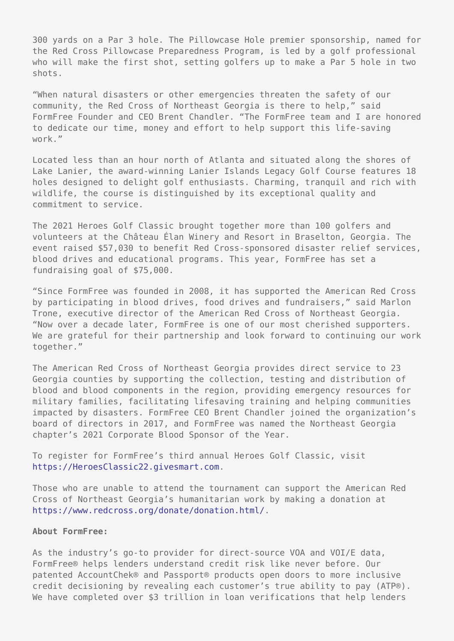300 yards on a Par 3 hole. The Pillowcase Hole premier sponsorship, named for the Red Cross Pillowcase Preparedness Program, is led by a golf professional who will make the first shot, setting golfers up to make a Par 5 hole in two shots.

"When natural disasters or other emergencies threaten the safety of our community, the Red Cross of Northeast Georgia is there to help," said FormFree Founder and CEO Brent Chandler. "The FormFree team and I are honored to dedicate our time, money and effort to help support this life-saving work."

Located less than an hour north of Atlanta and situated along the shores of Lake Lanier, the award-winning Lanier Islands Legacy Golf Course features 18 holes designed to delight golf enthusiasts. Charming, tranquil and rich with wildlife, the course is distinguished by its exceptional quality and commitment to service.

The 2021 Heroes Golf Classic brought together more than 100 golfers and volunteers at the Château Élan Winery and Resort in Braselton, Georgia. The event raised \$57,030 to benefit Red Cross-sponsored disaster relief services, blood drives and educational programs. This year, FormFree has set a fundraising goal of \$75,000.

"Since FormFree was founded in 2008, it has supported the American Red Cross by participating in blood drives, food drives and fundraisers," said Marlon Trone, executive director of the American Red Cross of Northeast Georgia. "Now over a decade later, FormFree is one of our most cherished supporters. We are grateful for their partnership and look forward to continuing our work together."

The American Red Cross of Northeast Georgia provides direct service to 23 Georgia counties by supporting the collection, testing and distribution of blood and blood components in the region, providing emergency resources for military families, facilitating lifesaving training and helping communities impacted by disasters. FormFree CEO Brent Chandler joined the organization's board of directors in 2017, and FormFree was named the Northeast Georgia chapter's 2021 Corporate Blood Sponsor of the Year.

To register for FormFree's third annual Heroes Golf Classic, visit [https://HeroesClassic22.givesmart.com.](https://HeroesClassic22.givesmart.com)

Those who are unable to attend the tournament can support the American Red Cross of Northeast Georgia's humanitarian work by making a donation at <https://www.redcross.org/donate/donation.html/>.

## **About FormFree:**

As the industry's go-to provider for direct-source VOA and VOI/E data, FormFree® helps lenders understand credit risk like never before. Our patented AccountChek® and Passport® products open doors to more inclusive credit decisioning by revealing each customer's true ability to pay (ATP®). We have completed over \$3 trillion in loan verifications that help lenders